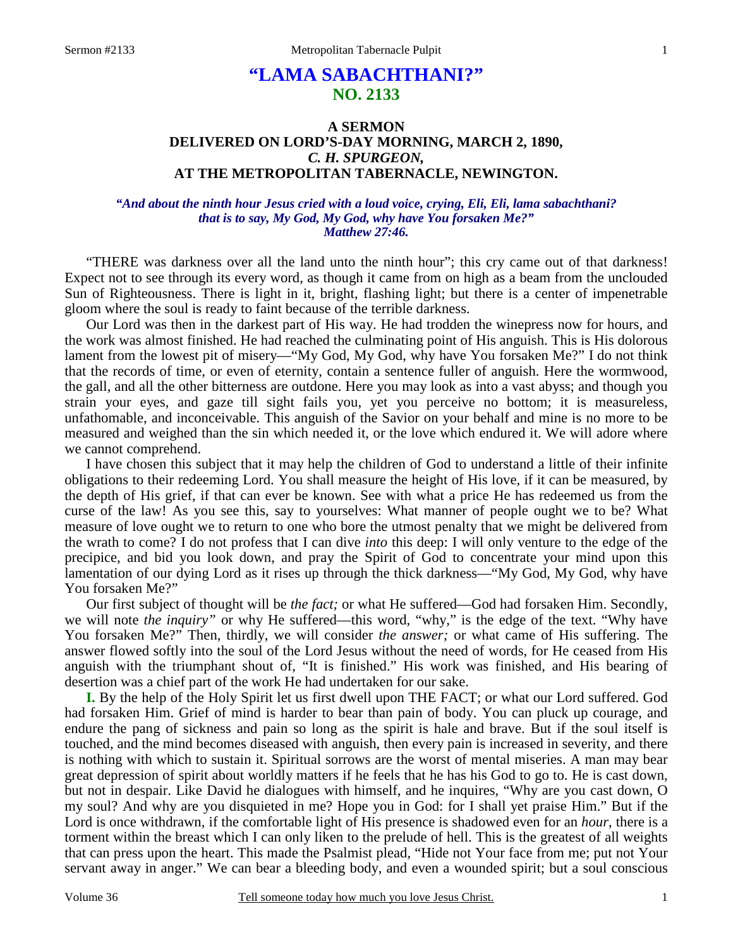# **"LAMA SABACHTHANI?" NO. 2133**

# **A SERMON DELIVERED ON LORD'S-DAY MORNING, MARCH 2, 1890,**  *C. H. SPURGEON,*  **AT THE METROPOLITAN TABERNACLE, NEWINGTON.**

#### *"And about the ninth hour Jesus cried with a loud voice, crying, Eli, Eli, lama sabachthani? that is to say, My God, My God, why have You forsaken Me?" Matthew 27:46.*

 "THERE was darkness over all the land unto the ninth hour"; this cry came out of that darkness! Expect not to see through its every word, as though it came from on high as a beam from the unclouded Sun of Righteousness. There is light in it, bright, flashing light; but there is a center of impenetrable gloom where the soul is ready to faint because of the terrible darkness.

 Our Lord was then in the darkest part of His way. He had trodden the winepress now for hours, and the work was almost finished. He had reached the culminating point of His anguish. This is His dolorous lament from the lowest pit of misery—"My God, My God, why have You forsaken Me?" I do not think that the records of time, or even of eternity, contain a sentence fuller of anguish. Here the wormwood, the gall, and all the other bitterness are outdone. Here you may look as into a vast abyss; and though you strain your eyes, and gaze till sight fails you, yet you perceive no bottom; it is measureless, unfathomable, and inconceivable. This anguish of the Savior on your behalf and mine is no more to be measured and weighed than the sin which needed it, or the love which endured it. We will adore where we cannot comprehend.

 I have chosen this subject that it may help the children of God to understand a little of their infinite obligations to their redeeming Lord. You shall measure the height of His love, if it can be measured, by the depth of His grief, if that can ever be known. See with what a price He has redeemed us from the curse of the law! As you see this, say to yourselves: What manner of people ought we to be? What measure of love ought we to return to one who bore the utmost penalty that we might be delivered from the wrath to come? I do not profess that I can dive *into* this deep: I will only venture to the edge of the precipice, and bid you look down, and pray the Spirit of God to concentrate your mind upon this lamentation of our dying Lord as it rises up through the thick darkness—"My God, My God, why have You forsaken Me?"

 Our first subject of thought will be *the fact;* or what He suffered—God had forsaken Him. Secondly, we will note *the inquiry"* or why He suffered—this word, "why," is the edge of the text. "Why have You forsaken Me?" Then, thirdly, we will consider *the answer;* or what came of His suffering. The answer flowed softly into the soul of the Lord Jesus without the need of words, for He ceased from His anguish with the triumphant shout of, "It is finished." His work was finished, and His bearing of desertion was a chief part of the work He had undertaken for our sake.

**I.** By the help of the Holy Spirit let us first dwell upon THE FACT; or what our Lord suffered. God had forsaken Him. Grief of mind is harder to bear than pain of body. You can pluck up courage, and endure the pang of sickness and pain so long as the spirit is hale and brave. But if the soul itself is touched, and the mind becomes diseased with anguish, then every pain is increased in severity, and there is nothing with which to sustain it. Spiritual sorrows are the worst of mental miseries. A man may bear great depression of spirit about worldly matters if he feels that he has his God to go to. He is cast down, but not in despair. Like David he dialogues with himself, and he inquires, "Why are you cast down, O my soul? And why are you disquieted in me? Hope you in God: for I shall yet praise Him." But if the Lord is once withdrawn, if the comfortable light of His presence is shadowed even for an *hour*, there is a torment within the breast which I can only liken to the prelude of hell. This is the greatest of all weights that can press upon the heart. This made the Psalmist plead, "Hide not Your face from me; put not Your servant away in anger." We can bear a bleeding body, and even a wounded spirit; but a soul conscious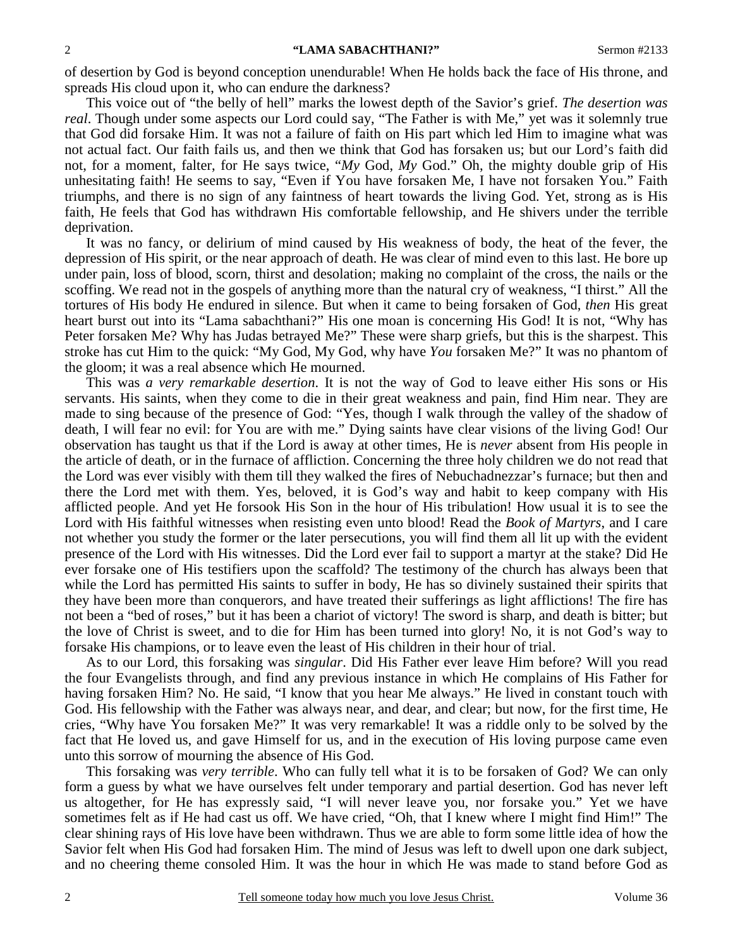of desertion by God is beyond conception unendurable! When He holds back the face of His throne, and spreads His cloud upon it, who can endure the darkness?

 This voice out of "the belly of hell" marks the lowest depth of the Savior's grief. *The desertion was real*. Though under some aspects our Lord could say, "The Father is with Me," yet was it solemnly true that God did forsake Him. It was not a failure of faith on His part which led Him to imagine what was not actual fact. Our faith fails us, and then we think that God has forsaken us; but our Lord's faith did not, for a moment, falter, for He says twice, "*My* God, *My* God." Oh, the mighty double grip of His unhesitating faith! He seems to say, "Even if You have forsaken Me, I have not forsaken You." Faith triumphs, and there is no sign of any faintness of heart towards the living God. Yet, strong as is His faith, He feels that God has withdrawn His comfortable fellowship, and He shivers under the terrible deprivation.

 It was no fancy, or delirium of mind caused by His weakness of body, the heat of the fever, the depression of His spirit, or the near approach of death. He was clear of mind even to this last. He bore up under pain, loss of blood, scorn, thirst and desolation; making no complaint of the cross, the nails or the scoffing. We read not in the gospels of anything more than the natural cry of weakness, "I thirst." All the tortures of His body He endured in silence. But when it came to being forsaken of God, *then* His great heart burst out into its "Lama sabachthani?" His one moan is concerning His God! It is not, "Why has Peter forsaken Me? Why has Judas betrayed Me?" These were sharp griefs, but this is the sharpest. This stroke has cut Him to the quick: "My God, My God, why have *You* forsaken Me?" It was no phantom of the gloom; it was a real absence which He mourned.

 This was *a very remarkable desertion*. It is not the way of God to leave either His sons or His servants. His saints, when they come to die in their great weakness and pain, find Him near. They are made to sing because of the presence of God: "Yes, though I walk through the valley of the shadow of death, I will fear no evil: for You are with me." Dying saints have clear visions of the living God! Our observation has taught us that if the Lord is away at other times, He is *never* absent from His people in the article of death, or in the furnace of affliction. Concerning the three holy children we do not read that the Lord was ever visibly with them till they walked the fires of Nebuchadnezzar's furnace; but then and there the Lord met with them. Yes, beloved, it is God's way and habit to keep company with His afflicted people. And yet He forsook His Son in the hour of His tribulation! How usual it is to see the Lord with His faithful witnesses when resisting even unto blood! Read the *Book of Martyrs*, and I care not whether you study the former or the later persecutions, you will find them all lit up with the evident presence of the Lord with His witnesses. Did the Lord ever fail to support a martyr at the stake? Did He ever forsake one of His testifiers upon the scaffold? The testimony of the church has always been that while the Lord has permitted His saints to suffer in body, He has so divinely sustained their spirits that they have been more than conquerors, and have treated their sufferings as light afflictions! The fire has not been a "bed of roses," but it has been a chariot of victory! The sword is sharp, and death is bitter; but the love of Christ is sweet, and to die for Him has been turned into glory! No, it is not God's way to forsake His champions, or to leave even the least of His children in their hour of trial.

 As to our Lord, this forsaking was *singular*. Did His Father ever leave Him before? Will you read the four Evangelists through, and find any previous instance in which He complains of His Father for having forsaken Him? No. He said, "I know that you hear Me always." He lived in constant touch with God. His fellowship with the Father was always near, and dear, and clear; but now, for the first time, He cries, "Why have You forsaken Me?" It was very remarkable! It was a riddle only to be solved by the fact that He loved us, and gave Himself for us, and in the execution of His loving purpose came even unto this sorrow of mourning the absence of His God.

 This forsaking was *very terrible*. Who can fully tell what it is to be forsaken of God? We can only form a guess by what we have ourselves felt under temporary and partial desertion. God has never left us altogether, for He has expressly said, "I will never leave you, nor forsake you." Yet we have sometimes felt as if He had cast us off. We have cried, "Oh, that I knew where I might find Him!" The clear shining rays of His love have been withdrawn. Thus we are able to form some little idea of how the Savior felt when His God had forsaken Him. The mind of Jesus was left to dwell upon one dark subject, and no cheering theme consoled Him. It was the hour in which He was made to stand before God as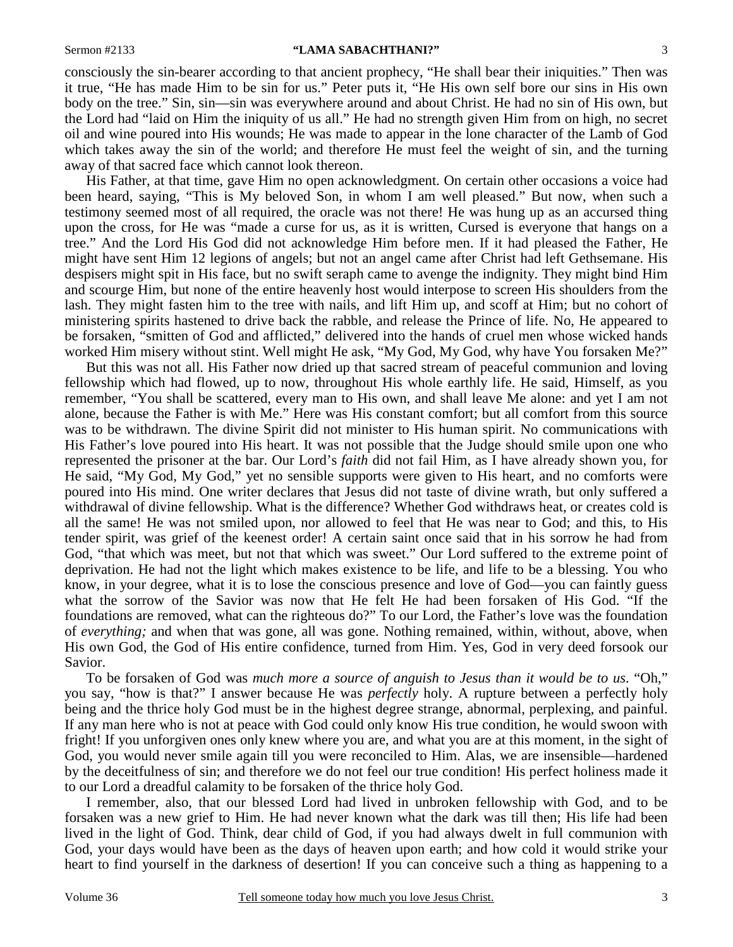consciously the sin-bearer according to that ancient prophecy, "He shall bear their iniquities." Then was it true, "He has made Him to be sin for us." Peter puts it, "He His own self bore our sins in His own body on the tree." Sin, sin—sin was everywhere around and about Christ. He had no sin of His own, but the Lord had "laid on Him the iniquity of us all." He had no strength given Him from on high, no secret oil and wine poured into His wounds; He was made to appear in the lone character of the Lamb of God which takes away the sin of the world; and therefore He must feel the weight of sin, and the turning away of that sacred face which cannot look thereon.

 His Father, at that time, gave Him no open acknowledgment. On certain other occasions a voice had been heard, saying, "This is My beloved Son, in whom I am well pleased." But now, when such a testimony seemed most of all required, the oracle was not there! He was hung up as an accursed thing upon the cross, for He was "made a curse for us, as it is written, Cursed is everyone that hangs on a tree." And the Lord His God did not acknowledge Him before men. If it had pleased the Father, He might have sent Him 12 legions of angels; but not an angel came after Christ had left Gethsemane. His despisers might spit in His face, but no swift seraph came to avenge the indignity. They might bind Him and scourge Him, but none of the entire heavenly host would interpose to screen His shoulders from the lash. They might fasten him to the tree with nails, and lift Him up, and scoff at Him; but no cohort of ministering spirits hastened to drive back the rabble, and release the Prince of life. No, He appeared to be forsaken, "smitten of God and afflicted," delivered into the hands of cruel men whose wicked hands worked Him misery without stint. Well might He ask, "My God, My God, why have You forsaken Me?"

 But this was not all. His Father now dried up that sacred stream of peaceful communion and loving fellowship which had flowed, up to now, throughout His whole earthly life. He said, Himself, as you remember, "You shall be scattered, every man to His own, and shall leave Me alone: and yet I am not alone, because the Father is with Me." Here was His constant comfort; but all comfort from this source was to be withdrawn. The divine Spirit did not minister to His human spirit. No communications with His Father's love poured into His heart. It was not possible that the Judge should smile upon one who represented the prisoner at the bar. Our Lord's *faith* did not fail Him, as I have already shown you, for He said, "My God, My God," yet no sensible supports were given to His heart, and no comforts were poured into His mind. One writer declares that Jesus did not taste of divine wrath, but only suffered a withdrawal of divine fellowship. What is the difference? Whether God withdraws heat, or creates cold is all the same! He was not smiled upon, nor allowed to feel that He was near to God; and this, to His tender spirit, was grief of the keenest order! A certain saint once said that in his sorrow he had from God, "that which was meet, but not that which was sweet." Our Lord suffered to the extreme point of deprivation. He had not the light which makes existence to be life, and life to be a blessing. You who know, in your degree, what it is to lose the conscious presence and love of God—you can faintly guess what the sorrow of the Savior was now that He felt He had been forsaken of His God. "If the foundations are removed, what can the righteous do?" To our Lord, the Father's love was the foundation of *everything;* and when that was gone, all was gone. Nothing remained, within, without, above, when His own God, the God of His entire confidence, turned from Him. Yes, God in very deed forsook our Savior.

 To be forsaken of God was *much more a source of anguish to Jesus than it would be to us*. "Oh," you say, "how is that?" I answer because He was *perfectly* holy. A rupture between a perfectly holy being and the thrice holy God must be in the highest degree strange, abnormal, perplexing, and painful. If any man here who is not at peace with God could only know His true condition, he would swoon with fright! If you unforgiven ones only knew where you are, and what you are at this moment, in the sight of God, you would never smile again till you were reconciled to Him. Alas, we are insensible—hardened by the deceitfulness of sin; and therefore we do not feel our true condition! His perfect holiness made it to our Lord a dreadful calamity to be forsaken of the thrice holy God.

 I remember, also, that our blessed Lord had lived in unbroken fellowship with God, and to be forsaken was a new grief to Him. He had never known what the dark was till then; His life had been lived in the light of God. Think, dear child of God, if you had always dwelt in full communion with God, your days would have been as the days of heaven upon earth; and how cold it would strike your heart to find yourself in the darkness of desertion! If you can conceive such a thing as happening to a

3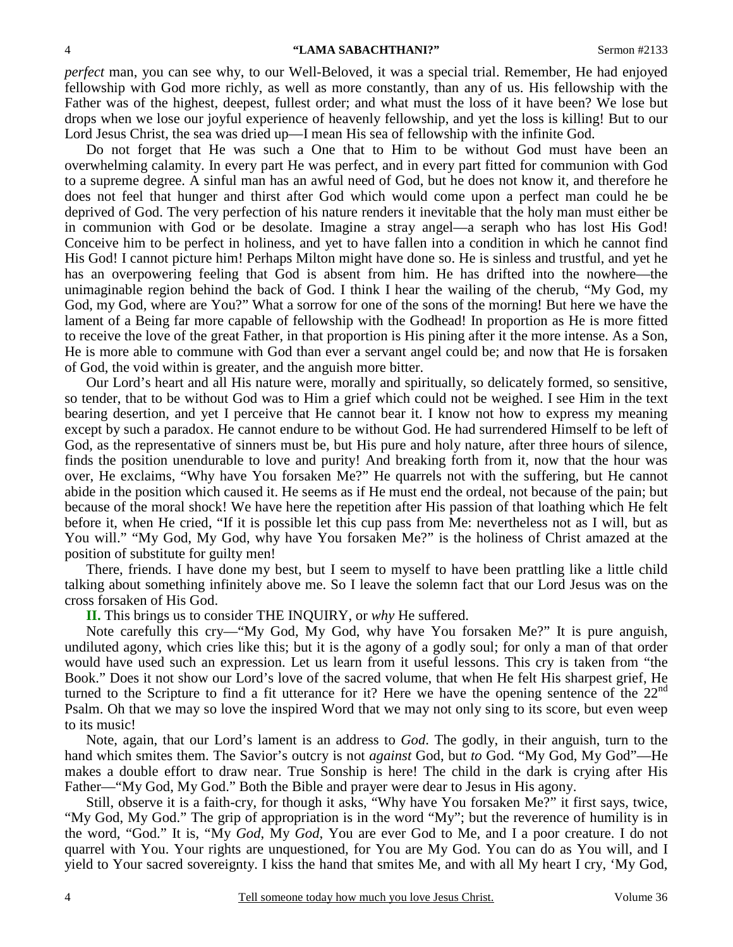*perfect* man, you can see why, to our Well-Beloved, it was a special trial. Remember, He had enjoyed fellowship with God more richly, as well as more constantly, than any of us. His fellowship with the Father was of the highest, deepest, fullest order; and what must the loss of it have been? We lose but drops when we lose our joyful experience of heavenly fellowship, and yet the loss is killing! But to our Lord Jesus Christ, the sea was dried up—I mean His sea of fellowship with the infinite God.

 Do not forget that He was such a One that to Him to be without God must have been an overwhelming calamity. In every part He was perfect, and in every part fitted for communion with God to a supreme degree. A sinful man has an awful need of God, but he does not know it, and therefore he does not feel that hunger and thirst after God which would come upon a perfect man could he be deprived of God. The very perfection of his nature renders it inevitable that the holy man must either be in communion with God or be desolate. Imagine a stray angel—a seraph who has lost His God! Conceive him to be perfect in holiness, and yet to have fallen into a condition in which he cannot find His God! I cannot picture him! Perhaps Milton might have done so. He is sinless and trustful, and yet he has an overpowering feeling that God is absent from him. He has drifted into the nowhere—the unimaginable region behind the back of God. I think I hear the wailing of the cherub, "My God, my God, my God, where are You?" What a sorrow for one of the sons of the morning! But here we have the lament of a Being far more capable of fellowship with the Godhead! In proportion as He is more fitted to receive the love of the great Father, in that proportion is His pining after it the more intense. As a Son, He is more able to commune with God than ever a servant angel could be; and now that He is forsaken of God, the void within is greater, and the anguish more bitter.

 Our Lord's heart and all His nature were, morally and spiritually, so delicately formed, so sensitive, so tender, that to be without God was to Him a grief which could not be weighed. I see Him in the text bearing desertion, and yet I perceive that He cannot bear it. I know not how to express my meaning except by such a paradox. He cannot endure to be without God. He had surrendered Himself to be left of God, as the representative of sinners must be, but His pure and holy nature, after three hours of silence, finds the position unendurable to love and purity! And breaking forth from it, now that the hour was over, He exclaims, "Why have You forsaken Me?" He quarrels not with the suffering, but He cannot abide in the position which caused it. He seems as if He must end the ordeal, not because of the pain; but because of the moral shock! We have here the repetition after His passion of that loathing which He felt before it, when He cried, "If it is possible let this cup pass from Me: nevertheless not as I will, but as You will." "My God, My God, why have You forsaken Me?" is the holiness of Christ amazed at the position of substitute for guilty men!

 There, friends. I have done my best, but I seem to myself to have been prattling like a little child talking about something infinitely above me. So I leave the solemn fact that our Lord Jesus was on the cross forsaken of His God.

**II.** This brings us to consider THE INQUIRY, or *why* He suffered.

 Note carefully this cry—"My God, My God, why have You forsaken Me?" It is pure anguish, undiluted agony, which cries like this; but it is the agony of a godly soul; for only a man of that order would have used such an expression. Let us learn from it useful lessons. This cry is taken from "the Book." Does it not show our Lord's love of the sacred volume, that when He felt His sharpest grief, He turned to the Scripture to find a fit utterance for it? Here we have the opening sentence of the  $22<sup>nd</sup>$ Psalm. Oh that we may so love the inspired Word that we may not only sing to its score, but even weep to its music!

 Note, again, that our Lord's lament is an address to *God*. The godly, in their anguish, turn to the hand which smites them. The Savior's outcry is not *against* God, but *to* God. "My God, My God"—He makes a double effort to draw near. True Sonship is here! The child in the dark is crying after His Father—"My God, My God." Both the Bible and prayer were dear to Jesus in His agony.

 Still, observe it is a faith-cry, for though it asks, "Why have You forsaken Me?" it first says, twice, "My God, My God." The grip of appropriation is in the word "My"; but the reverence of humility is in the word, "God." It is, "My *God*, My *God*, You are ever God to Me, and I a poor creature. I do not quarrel with You. Your rights are unquestioned, for You are My God. You can do as You will, and I yield to Your sacred sovereignty. I kiss the hand that smites Me, and with all My heart I cry, 'My God,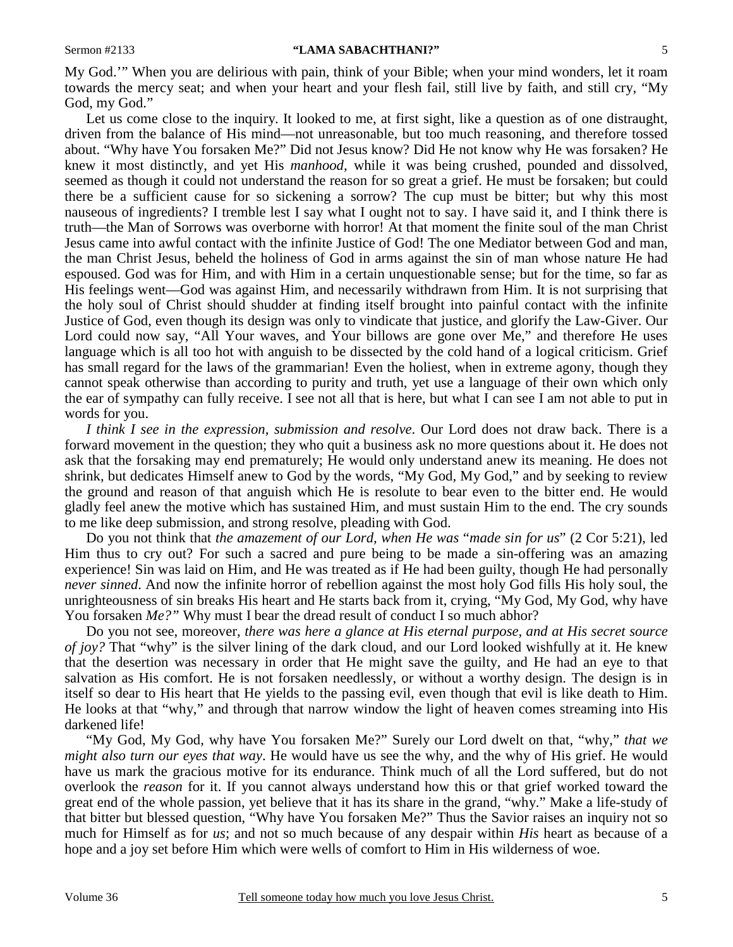My God.'" When you are delirious with pain, think of your Bible; when your mind wonders, let it roam towards the mercy seat; and when your heart and your flesh fail, still live by faith, and still cry, "My God, my God."

 Let us come close to the inquiry. It looked to me, at first sight, like a question as of one distraught, driven from the balance of His mind—not unreasonable, but too much reasoning, and therefore tossed about. "Why have You forsaken Me?" Did not Jesus know? Did He not know why He was forsaken? He knew it most distinctly, and yet His *manhood,* while it was being crushed, pounded and dissolved, seemed as though it could not understand the reason for so great a grief. He must be forsaken; but could there be a sufficient cause for so sickening a sorrow? The cup must be bitter; but why this most nauseous of ingredients? I tremble lest I say what I ought not to say. I have said it, and I think there is truth—the Man of Sorrows was overborne with horror! At that moment the finite soul of the man Christ Jesus came into awful contact with the infinite Justice of God! The one Mediator between God and man, the man Christ Jesus, beheld the holiness of God in arms against the sin of man whose nature He had espoused. God was for Him, and with Him in a certain unquestionable sense; but for the time, so far as His feelings went—God was against Him, and necessarily withdrawn from Him. It is not surprising that the holy soul of Christ should shudder at finding itself brought into painful contact with the infinite Justice of God, even though its design was only to vindicate that justice, and glorify the Law-Giver. Our Lord could now say, "All Your waves, and Your billows are gone over Me," and therefore He uses language which is all too hot with anguish to be dissected by the cold hand of a logical criticism. Grief has small regard for the laws of the grammarian! Even the holiest, when in extreme agony, though they cannot speak otherwise than according to purity and truth, yet use a language of their own which only the ear of sympathy can fully receive. I see not all that is here, but what I can see I am not able to put in words for you.

*I think I see in the expression, submission and resolve*. Our Lord does not draw back. There is a forward movement in the question; they who quit a business ask no more questions about it. He does not ask that the forsaking may end prematurely; He would only understand anew its meaning. He does not shrink, but dedicates Himself anew to God by the words, "My God, My God," and by seeking to review the ground and reason of that anguish which He is resolute to bear even to the bitter end. He would gladly feel anew the motive which has sustained Him, and must sustain Him to the end. The cry sounds to me like deep submission, and strong resolve, pleading with God.

 Do you not think that *the amazement of our Lord, when He was* "*made sin for us*" (2 Cor 5:21), led Him thus to cry out? For such a sacred and pure being to be made a sin-offering was an amazing experience! Sin was laid on Him, and He was treated as if He had been guilty, though He had personally *never sinned*. And now the infinite horror of rebellion against the most holy God fills His holy soul, the unrighteousness of sin breaks His heart and He starts back from it, crying, "My God, My God, why have You forsaken *Me?"* Why must I bear the dread result of conduct I so much abhor?

 Do you not see, moreover, *there was here a glance at His eternal purpose, and at His secret source of joy?* That "why" is the silver lining of the dark cloud, and our Lord looked wishfully at it. He knew that the desertion was necessary in order that He might save the guilty, and He had an eye to that salvation as His comfort. He is not forsaken needlessly, or without a worthy design. The design is in itself so dear to His heart that He yields to the passing evil, even though that evil is like death to Him. He looks at that "why," and through that narrow window the light of heaven comes streaming into His darkened life!

 "My God, My God, why have You forsaken Me?" Surely our Lord dwelt on that, "why," *that we might also turn our eyes that way*. He would have us see the why, and the why of His grief. He would have us mark the gracious motive for its endurance. Think much of all the Lord suffered, but do not overlook the *reason* for it. If you cannot always understand how this or that grief worked toward the great end of the whole passion, yet believe that it has its share in the grand, "why." Make a life-study of that bitter but blessed question, "Why have You forsaken Me?" Thus the Savior raises an inquiry not so much for Himself as for *us*; and not so much because of any despair within *His* heart as because of a hope and a joy set before Him which were wells of comfort to Him in His wilderness of woe.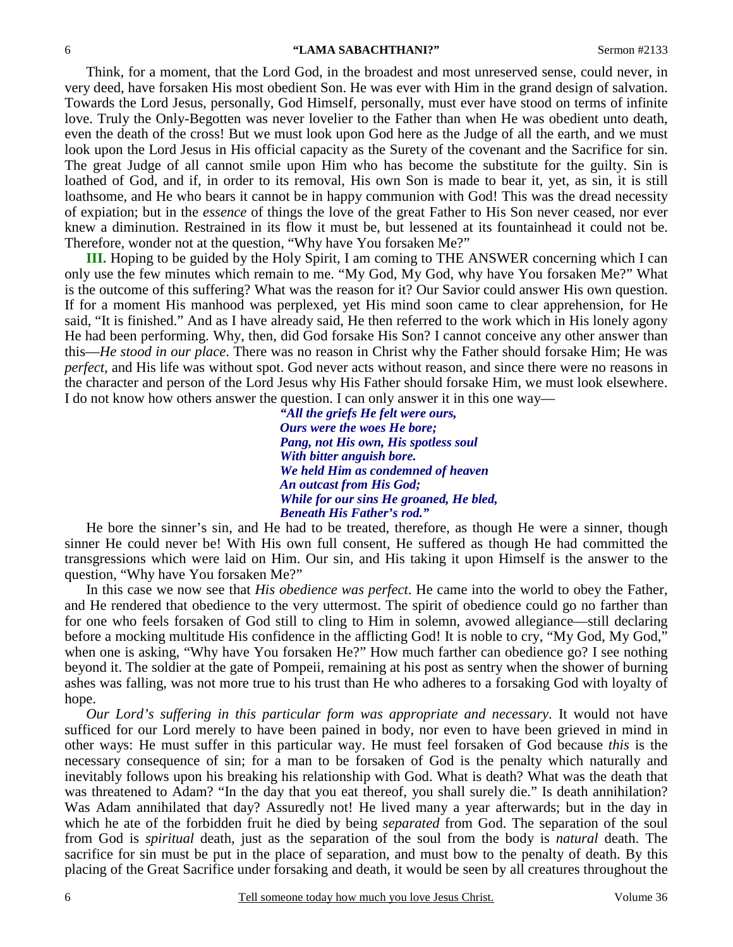Think, for a moment, that the Lord God, in the broadest and most unreserved sense, could never, in very deed, have forsaken His most obedient Son. He was ever with Him in the grand design of salvation. Towards the Lord Jesus, personally, God Himself, personally, must ever have stood on terms of infinite love. Truly the Only-Begotten was never lovelier to the Father than when He was obedient unto death, even the death of the cross! But we must look upon God here as the Judge of all the earth, and we must look upon the Lord Jesus in His official capacity as the Surety of the covenant and the Sacrifice for sin. The great Judge of all cannot smile upon Him who has become the substitute for the guilty. Sin is loathed of God, and if, in order to its removal, His own Son is made to bear it, yet, as sin, it is still loathsome, and He who bears it cannot be in happy communion with God! This was the dread necessity of expiation; but in the *essence* of things the love of the great Father to His Son never ceased, nor ever knew a diminution. Restrained in its flow it must be, but lessened at its fountainhead it could not be. Therefore, wonder not at the question, "Why have You forsaken Me?"

**III.** Hoping to be guided by the Holy Spirit, I am coming to THE ANSWER concerning which I can only use the few minutes which remain to me. "My God, My God, why have You forsaken Me?" What is the outcome of this suffering? What was the reason for it? Our Savior could answer His own question. If for a moment His manhood was perplexed, yet His mind soon came to clear apprehension, for He said, "It is finished." And as I have already said, He then referred to the work which in His lonely agony He had been performing. Why, then, did God forsake His Son? I cannot conceive any other answer than this—*He stood in our place*. There was no reason in Christ why the Father should forsake Him; He was *perfect,* and His life was without spot. God never acts without reason, and since there were no reasons in the character and person of the Lord Jesus why His Father should forsake Him, we must look elsewhere. I do not know how others answer the question. I can only answer it in this one way—

> *"All the griefs He felt were ours, Ours were the woes He bore; Pang, not His own, His spotless soul With bitter anguish bore. We held Him as condemned of heaven An outcast from His God; While for our sins He groaned, He bled, Beneath His Father's rod."*

 He bore the sinner's sin, and He had to be treated, therefore, as though He were a sinner, though sinner He could never be! With His own full consent, He suffered as though He had committed the transgressions which were laid on Him. Our sin, and His taking it upon Himself is the answer to the question, "Why have You forsaken Me?"

 In this case we now see that *His obedience was perfect*. He came into the world to obey the Father, and He rendered that obedience to the very uttermost. The spirit of obedience could go no farther than for one who feels forsaken of God still to cling to Him in solemn, avowed allegiance—still declaring before a mocking multitude His confidence in the afflicting God! It is noble to cry, "My God, My God," when one is asking, "Why have You forsaken He?" How much farther can obedience go? I see nothing beyond it. The soldier at the gate of Pompeii, remaining at his post as sentry when the shower of burning ashes was falling, was not more true to his trust than He who adheres to a forsaking God with loyalty of hope.

*Our Lord's suffering in this particular form was appropriate and necessary*. It would not have sufficed for our Lord merely to have been pained in body, nor even to have been grieved in mind in other ways: He must suffer in this particular way. He must feel forsaken of God because *this* is the necessary consequence of sin; for a man to be forsaken of God is the penalty which naturally and inevitably follows upon his breaking his relationship with God. What is death? What was the death that was threatened to Adam? "In the day that you eat thereof, you shall surely die." Is death annihilation? Was Adam annihilated that day? Assuredly not! He lived many a year afterwards; but in the day in which he ate of the forbidden fruit he died by being *separated* from God. The separation of the soul from God is *spiritual* death, just as the separation of the soul from the body is *natural* death. The sacrifice for sin must be put in the place of separation, and must bow to the penalty of death. By this placing of the Great Sacrifice under forsaking and death, it would be seen by all creatures throughout the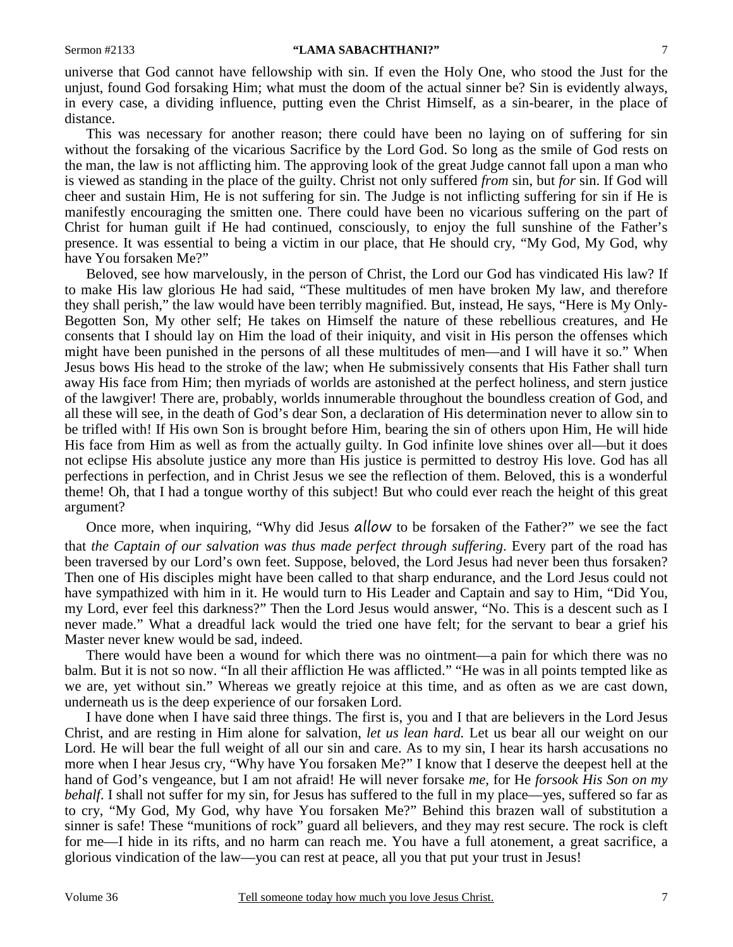universe that God cannot have fellowship with sin. If even the Holy One, who stood the Just for the unjust, found God forsaking Him; what must the doom of the actual sinner be? Sin is evidently always, in every case, a dividing influence, putting even the Christ Himself, as a sin-bearer, in the place of distance.

 This was necessary for another reason; there could have been no laying on of suffering for sin without the forsaking of the vicarious Sacrifice by the Lord God. So long as the smile of God rests on the man, the law is not afflicting him. The approving look of the great Judge cannot fall upon a man who is viewed as standing in the place of the guilty. Christ not only suffered *from* sin, but *for* sin. If God will cheer and sustain Him, He is not suffering for sin. The Judge is not inflicting suffering for sin if He is manifestly encouraging the smitten one. There could have been no vicarious suffering on the part of Christ for human guilt if He had continued, consciously, to enjoy the full sunshine of the Father's presence. It was essential to being a victim in our place, that He should cry, "My God, My God, why have You forsaken Me?"

 Beloved, see how marvelously, in the person of Christ, the Lord our God has vindicated His law? If to make His law glorious He had said, "These multitudes of men have broken My law, and therefore they shall perish," the law would have been terribly magnified. But, instead, He says, "Here is My Only-Begotten Son, My other self; He takes on Himself the nature of these rebellious creatures, and He consents that I should lay on Him the load of their iniquity, and visit in His person the offenses which might have been punished in the persons of all these multitudes of men—and I will have it so." When Jesus bows His head to the stroke of the law; when He submissively consents that His Father shall turn away His face from Him; then myriads of worlds are astonished at the perfect holiness, and stern justice of the lawgiver! There are, probably, worlds innumerable throughout the boundless creation of God, and all these will see, in the death of God's dear Son, a declaration of His determination never to allow sin to be trifled with! If His own Son is brought before Him, bearing the sin of others upon Him, He will hide His face from Him as well as from the actually guilty. In God infinite love shines over all—but it does not eclipse His absolute justice any more than His justice is permitted to destroy His love. God has all perfections in perfection, and in Christ Jesus we see the reflection of them. Beloved, this is a wonderful theme! Oh, that I had a tongue worthy of this subject! But who could ever reach the height of this great argument?

 Once more, when inquiring, "Why did Jesus allow to be forsaken of the Father?" we see the fact that *the Captain of our salvation was thus made perfect through suffering*. Every part of the road has been traversed by our Lord's own feet. Suppose, beloved, the Lord Jesus had never been thus forsaken? Then one of His disciples might have been called to that sharp endurance, and the Lord Jesus could not have sympathized with him in it. He would turn to His Leader and Captain and say to Him, "Did You, my Lord, ever feel this darkness?" Then the Lord Jesus would answer, "No. This is a descent such as I never made." What a dreadful lack would the tried one have felt; for the servant to bear a grief his Master never knew would be sad, indeed.

 There would have been a wound for which there was no ointment—a pain for which there was no balm. But it is not so now. "In all their affliction He was afflicted." "He was in all points tempted like as we are, yet without sin." Whereas we greatly rejoice at this time, and as often as we are cast down, underneath us is the deep experience of our forsaken Lord.

 I have done when I have said three things. The first is, you and I that are believers in the Lord Jesus Christ, and are resting in Him alone for salvation, *let us lean hard.* Let us bear all our weight on our Lord. He will bear the full weight of all our sin and care. As to my sin, I hear its harsh accusations no more when I hear Jesus cry, "Why have You forsaken Me?" I know that I deserve the deepest hell at the hand of God's vengeance, but I am not afraid! He will never forsake *me,* for He *forsook His Son on my behalf*. I shall not suffer for my sin, for Jesus has suffered to the full in my place—yes, suffered so far as to cry, "My God, My God, why have You forsaken Me?" Behind this brazen wall of substitution a sinner is safe! These "munitions of rock" guard all believers, and they may rest secure. The rock is cleft for me—I hide in its rifts, and no harm can reach me. You have a full atonement, a great sacrifice, a glorious vindication of the law—you can rest at peace, all you that put your trust in Jesus!